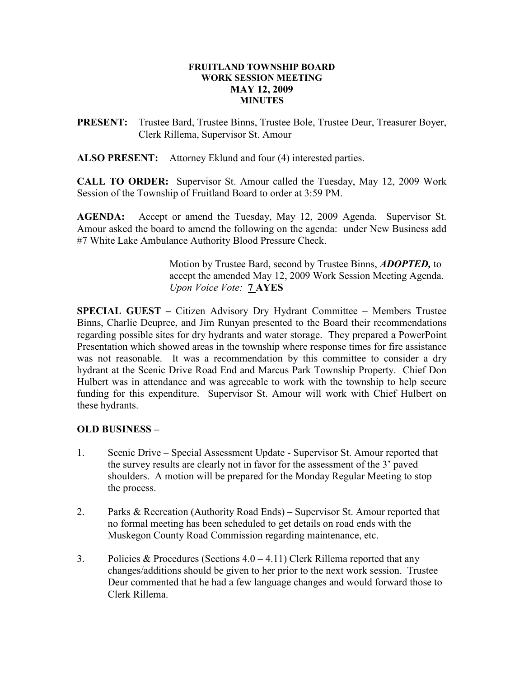#### FRUITLAND TOWNSHIP BOARD WORK SESSION MEETING MAY 12, 2009 MINUTES

PRESENT: Trustee Bard, Trustee Binns, Trustee Bole, Trustee Deur, Treasurer Boyer, Clerk Rillema, Supervisor St. Amour

ALSO PRESENT: Attorney Eklund and four (4) interested parties.

CALL TO ORDER: Supervisor St. Amour called the Tuesday, May 12, 2009 Work Session of the Township of Fruitland Board to order at 3:59 PM.

AGENDA: Accept or amend the Tuesday, May 12, 2009 Agenda. Supervisor St. Amour asked the board to amend the following on the agenda: under New Business add #7 White Lake Ambulance Authority Blood Pressure Check.

> Motion by Trustee Bard, second by Trustee Binns, **ADOPTED**, to accept the amended May 12, 2009 Work Session Meeting Agenda. Upon Voice Vote: 7 AYES

SPECIAL GUEST – Citizen Advisory Dry Hydrant Committee – Members Trustee Binns, Charlie Deupree, and Jim Runyan presented to the Board their recommendations regarding possible sites for dry hydrants and water storage. They prepared a PowerPoint Presentation which showed areas in the township where response times for fire assistance was not reasonable. It was a recommendation by this committee to consider a dry hydrant at the Scenic Drive Road End and Marcus Park Township Property. Chief Don Hulbert was in attendance and was agreeable to work with the township to help secure funding for this expenditure. Supervisor St. Amour will work with Chief Hulbert on these hydrants.

# OLD BUSINESS –

- 1. Scenic Drive Special Assessment Update Supervisor St. Amour reported that the survey results are clearly not in favor for the assessment of the 3' paved shoulders. A motion will be prepared for the Monday Regular Meeting to stop the process.
- 2. Parks & Recreation (Authority Road Ends) Supervisor St. Amour reported that no formal meeting has been scheduled to get details on road ends with the Muskegon County Road Commission regarding maintenance, etc.
- 3. Policies & Procedures (Sections  $4.0 4.11$ ) Clerk Rillema reported that any changes/additions should be given to her prior to the next work session. Trustee Deur commented that he had a few language changes and would forward those to Clerk Rillema.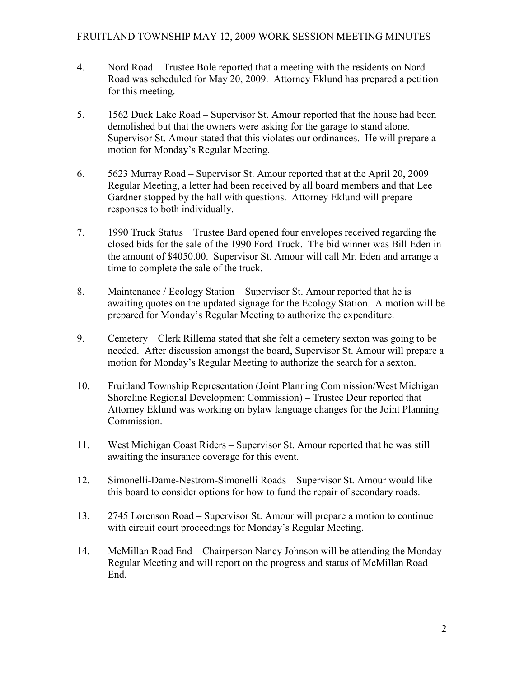- 4. Nord Road Trustee Bole reported that a meeting with the residents on Nord Road was scheduled for May 20, 2009. Attorney Eklund has prepared a petition for this meeting.
- 5. 1562 Duck Lake Road Supervisor St. Amour reported that the house had been demolished but that the owners were asking for the garage to stand alone. Supervisor St. Amour stated that this violates our ordinances. He will prepare a motion for Monday's Regular Meeting.
- 6. 5623 Murray Road Supervisor St. Amour reported that at the April 20, 2009 Regular Meeting, a letter had been received by all board members and that Lee Gardner stopped by the hall with questions. Attorney Eklund will prepare responses to both individually.
- 7. 1990 Truck Status Trustee Bard opened four envelopes received regarding the closed bids for the sale of the 1990 Ford Truck. The bid winner was Bill Eden in the amount of \$4050.00. Supervisor St. Amour will call Mr. Eden and arrange a time to complete the sale of the truck.
- 8. Maintenance / Ecology Station Supervisor St. Amour reported that he is awaiting quotes on the updated signage for the Ecology Station. A motion will be prepared for Monday's Regular Meeting to authorize the expenditure.
- 9. Cemetery Clerk Rillema stated that she felt a cemetery sexton was going to be needed. After discussion amongst the board, Supervisor St. Amour will prepare a motion for Monday's Regular Meeting to authorize the search for a sexton.
- 10. Fruitland Township Representation (Joint Planning Commission/West Michigan Shoreline Regional Development Commission) – Trustee Deur reported that Attorney Eklund was working on bylaw language changes for the Joint Planning Commission.
- 11. West Michigan Coast Riders Supervisor St. Amour reported that he was still awaiting the insurance coverage for this event.
- 12. Simonelli-Dame-Nestrom-Simonelli Roads Supervisor St. Amour would like this board to consider options for how to fund the repair of secondary roads.
- 13. 2745 Lorenson Road Supervisor St. Amour will prepare a motion to continue with circuit court proceedings for Monday's Regular Meeting.
- 14. McMillan Road End Chairperson Nancy Johnson will be attending the Monday Regular Meeting and will report on the progress and status of McMillan Road End.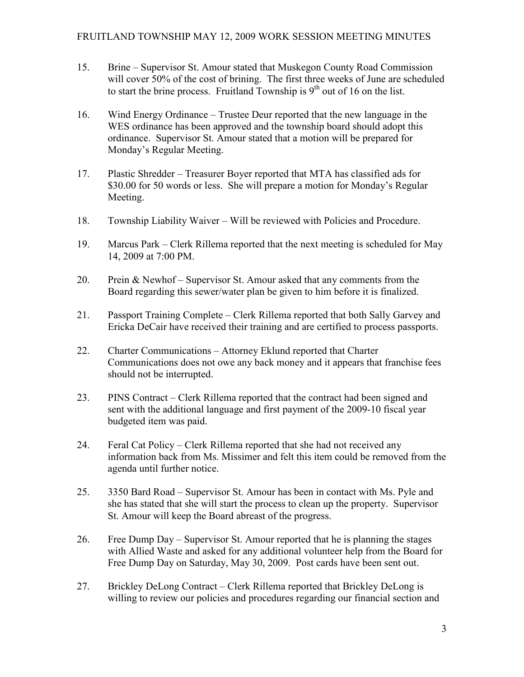- 15. Brine Supervisor St. Amour stated that Muskegon County Road Commission will cover 50% of the cost of brining. The first three weeks of June are scheduled to start the brine process. Fruitland Township is  $9<sup>th</sup>$  out of 16 on the list.
- 16. Wind Energy Ordinance Trustee Deur reported that the new language in the WES ordinance has been approved and the township board should adopt this ordinance. Supervisor St. Amour stated that a motion will be prepared for Monday's Regular Meeting.
- 17. Plastic Shredder Treasurer Boyer reported that MTA has classified ads for \$30.00 for 50 words or less. She will prepare a motion for Monday's Regular Meeting.
- 18. Township Liability Waiver Will be reviewed with Policies and Procedure.
- 19. Marcus Park Clerk Rillema reported that the next meeting is scheduled for May 14, 2009 at 7:00 PM.
- 20. Prein & Newhof Supervisor St. Amour asked that any comments from the Board regarding this sewer/water plan be given to him before it is finalized.
- 21. Passport Training Complete Clerk Rillema reported that both Sally Garvey and Ericka DeCair have received their training and are certified to process passports.
- 22. Charter Communications Attorney Eklund reported that Charter Communications does not owe any back money and it appears that franchise fees should not be interrupted.
- 23. PINS Contract Clerk Rillema reported that the contract had been signed and sent with the additional language and first payment of the 2009-10 fiscal year budgeted item was paid.
- 24. Feral Cat Policy Clerk Rillema reported that she had not received any information back from Ms. Missimer and felt this item could be removed from the agenda until further notice.
- 25. 3350 Bard Road Supervisor St. Amour has been in contact with Ms. Pyle and she has stated that she will start the process to clean up the property. Supervisor St. Amour will keep the Board abreast of the progress.
- 26. Free Dump Day Supervisor St. Amour reported that he is planning the stages with Allied Waste and asked for any additional volunteer help from the Board for Free Dump Day on Saturday, May 30, 2009. Post cards have been sent out.
- 27. Brickley DeLong Contract Clerk Rillema reported that Brickley DeLong is willing to review our policies and procedures regarding our financial section and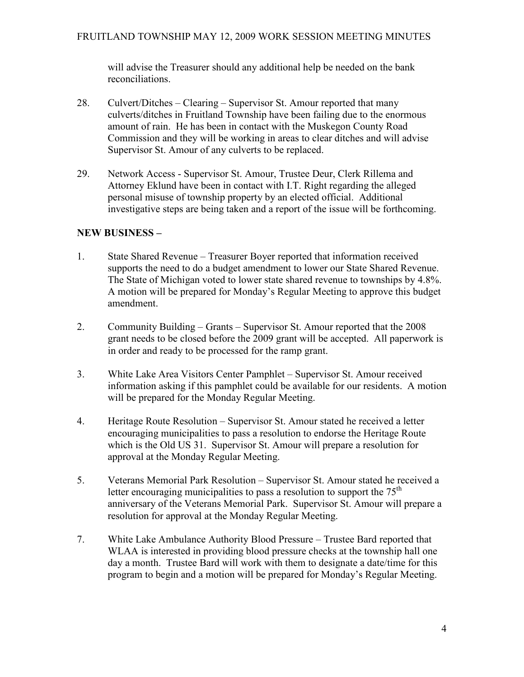will advise the Treasurer should any additional help be needed on the bank reconciliations.

- 28. Culvert/Ditches Clearing Supervisor St. Amour reported that many culverts/ditches in Fruitland Township have been failing due to the enormous amount of rain. He has been in contact with the Muskegon County Road Commission and they will be working in areas to clear ditches and will advise Supervisor St. Amour of any culverts to be replaced.
- 29. Network Access Supervisor St. Amour, Trustee Deur, Clerk Rillema and Attorney Eklund have been in contact with I.T. Right regarding the alleged personal misuse of township property by an elected official. Additional investigative steps are being taken and a report of the issue will be forthcoming.

# NEW BUSINESS –

- 1. State Shared Revenue Treasurer Boyer reported that information received supports the need to do a budget amendment to lower our State Shared Revenue. The State of Michigan voted to lower state shared revenue to townships by 4.8%. A motion will be prepared for Monday's Regular Meeting to approve this budget amendment.
- 2. Community Building Grants Supervisor St. Amour reported that the 2008 grant needs to be closed before the 2009 grant will be accepted. All paperwork is in order and ready to be processed for the ramp grant.
- 3. White Lake Area Visitors Center Pamphlet Supervisor St. Amour received information asking if this pamphlet could be available for our residents. A motion will be prepared for the Monday Regular Meeting.
- 4. Heritage Route Resolution Supervisor St. Amour stated he received a letter encouraging municipalities to pass a resolution to endorse the Heritage Route which is the Old US 31. Supervisor St. Amour will prepare a resolution for approval at the Monday Regular Meeting.
- 5. Veterans Memorial Park Resolution Supervisor St. Amour stated he received a letter encouraging municipalities to pass a resolution to support the  $75<sup>th</sup>$  anniversary of the Veterans Memorial Park. Supervisor St. Amour will prepare a resolution for approval at the Monday Regular Meeting.
- 7. White Lake Ambulance Authority Blood Pressure Trustee Bard reported that WLAA is interested in providing blood pressure checks at the township hall one day a month. Trustee Bard will work with them to designate a date/time for this program to begin and a motion will be prepared for Monday's Regular Meeting.